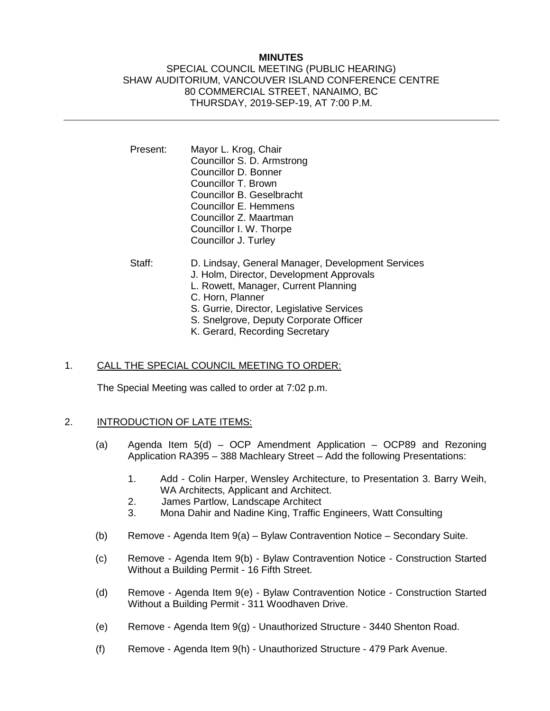## **MINUTES**

### SPECIAL COUNCIL MEETING (PUBLIC HEARING) SHAW AUDITORIUM, VANCOUVER ISLAND CONFERENCE CENTRE 80 COMMERCIAL STREET, NANAIMO, BC THURSDAY, 2019-SEP-19, AT 7:00 P.M.

- Present: Mayor L. Krog, Chair Councillor S. D. Armstrong Councillor D. Bonner Councillor T. Brown Councillor B. Geselbracht Councillor E. Hemmens Councillor Z. Maartman Councillor I. W. Thorpe Councillor J. Turley
- Staff: D. Lindsay, General Manager, Development Services J. Holm, Director, Development Approvals L. Rowett, Manager, Current Planning C. Horn, Planner S. Gurrie, Director, Legislative Services S. Snelgrove, Deputy Corporate Officer K. Gerard, Recording Secretary

## 1. CALL THE SPECIAL COUNCIL MEETING TO ORDER:

The Special Meeting was called to order at 7:02 p.m.

# 2. INTRODUCTION OF LATE ITEMS:

- (a) Agenda Item  $5(d)$  OCP Amendment Application OCP89 and Rezoning Application RA395 – 388 Machleary Street – Add the following Presentations:
	- 1. Add Colin Harper, Wensley Architecture, to Presentation 3. Barry Weih, WA Architects, Applicant and Architect.
	- 2. James Partlow, Landscape Architect
	- 3. Mona Dahir and Nadine King, Traffic Engineers, Watt Consulting
- (b) Remove Agenda Item  $9(a)$  Bylaw Contravention Notice Secondary Suite.
- (c) Remove Agenda Item 9(b) Bylaw Contravention Notice Construction Started Without a Building Permit - 16 Fifth Street.
- (d) Remove Agenda Item 9(e) Bylaw Contravention Notice Construction Started Without a Building Permit - 311 Woodhaven Drive.
- (e) Remove Agenda Item 9(g) Unauthorized Structure 3440 Shenton Road.
- (f) Remove Agenda Item 9(h) Unauthorized Structure 479 Park Avenue.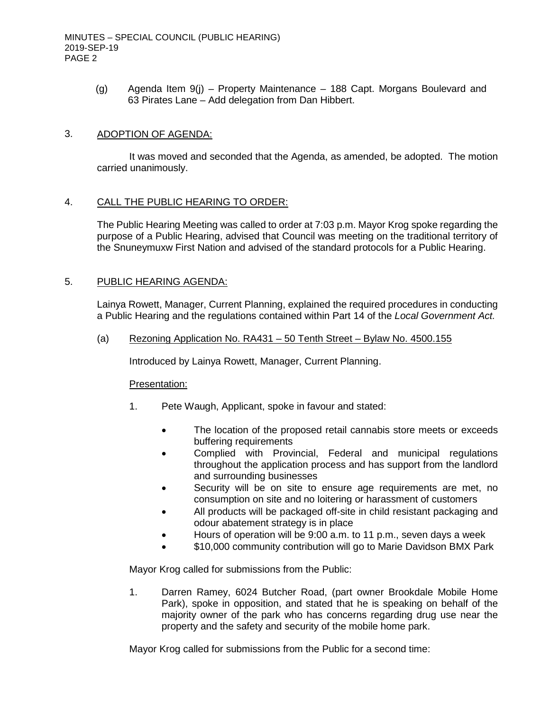(g) Agenda Item 9(j) – Property Maintenance – 188 Capt. Morgans Boulevard and 63 Pirates Lane – Add delegation from Dan Hibbert.

### 3. ADOPTION OF AGENDA:

It was moved and seconded that the Agenda, as amended, be adopted. The motion carried unanimously.

#### 4. CALL THE PUBLIC HEARING TO ORDER:

The Public Hearing Meeting was called to order at 7:03 p.m. Mayor Krog spoke regarding the purpose of a Public Hearing, advised that Council was meeting on the traditional territory of the Snuneymuxw First Nation and advised of the standard protocols for a Public Hearing.

#### 5. PUBLIC HEARING AGENDA:

Lainya Rowett, Manager, Current Planning, explained the required procedures in conducting a Public Hearing and the regulations contained within Part 14 of the *Local Government Act.*

(a) Rezoning Application No. RA431 – 50 Tenth Street – Bylaw No. 4500.155

Introduced by Lainya Rowett, Manager, Current Planning.

#### Presentation:

- 1. Pete Waugh, Applicant, spoke in favour and stated:
	- The location of the proposed retail cannabis store meets or exceeds buffering requirements
	- Complied with Provincial, Federal and municipal regulations throughout the application process and has support from the landlord and surrounding businesses
	- Security will be on site to ensure age requirements are met, no consumption on site and no loitering or harassment of customers
	- All products will be packaged off-site in child resistant packaging and odour abatement strategy is in place
	- Hours of operation will be 9:00 a.m. to 11 p.m., seven days a week
	- \$10,000 community contribution will go to Marie Davidson BMX Park

Mayor Krog called for submissions from the Public:

1. Darren Ramey, 6024 Butcher Road, (part owner Brookdale Mobile Home Park), spoke in opposition, and stated that he is speaking on behalf of the majority owner of the park who has concerns regarding drug use near the property and the safety and security of the mobile home park.

Mayor Krog called for submissions from the Public for a second time: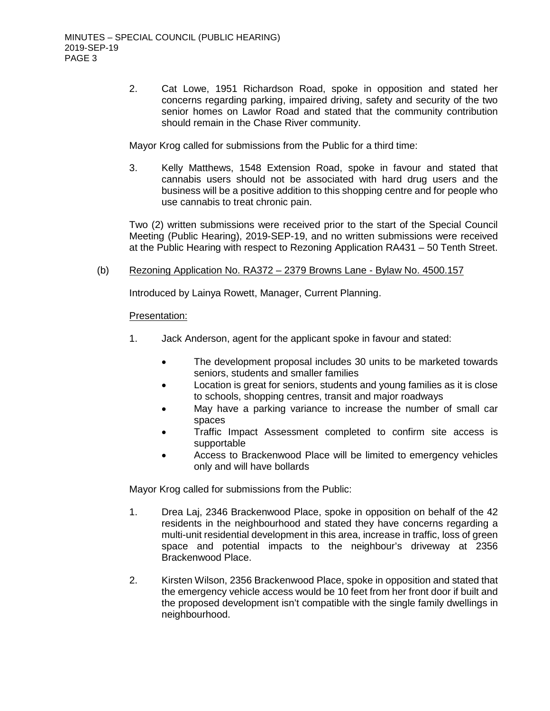2. Cat Lowe, 1951 Richardson Road, spoke in opposition and stated her concerns regarding parking, impaired driving, safety and security of the two senior homes on Lawlor Road and stated that the community contribution should remain in the Chase River community.

Mayor Krog called for submissions from the Public for a third time:

3. Kelly Matthews, 1548 Extension Road, spoke in favour and stated that cannabis users should not be associated with hard drug users and the business will be a positive addition to this shopping centre and for people who use cannabis to treat chronic pain.

Two (2) written submissions were received prior to the start of the Special Council Meeting (Public Hearing), 2019-SEP-19, and no written submissions were received at the Public Hearing with respect to Rezoning Application RA431 – 50 Tenth Street.

### (b) Rezoning Application No. RA372 – 2379 Browns Lane - Bylaw No. 4500.157

Introduced by Lainya Rowett, Manager, Current Planning.

#### Presentation:

- 1. Jack Anderson, agent for the applicant spoke in favour and stated:
	- The development proposal includes 30 units to be marketed towards seniors, students and smaller families
	- Location is great for seniors, students and young families as it is close to schools, shopping centres, transit and major roadways
	- May have a parking variance to increase the number of small car spaces
	- Traffic Impact Assessment completed to confirm site access is supportable
	- Access to Brackenwood Place will be limited to emergency vehicles only and will have bollards

Mayor Krog called for submissions from the Public:

- 1. Drea Laj, 2346 Brackenwood Place, spoke in opposition on behalf of the 42 residents in the neighbourhood and stated they have concerns regarding a multi-unit residential development in this area, increase in traffic, loss of green space and potential impacts to the neighbour's driveway at 2356 Brackenwood Place.
- 2. Kirsten Wilson, 2356 Brackenwood Place, spoke in opposition and stated that the emergency vehicle access would be 10 feet from her front door if built and the proposed development isn't compatible with the single family dwellings in neighbourhood.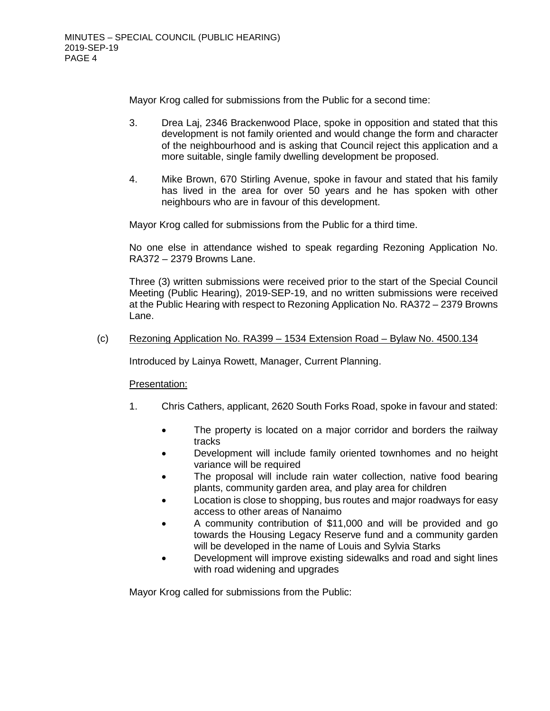Mayor Krog called for submissions from the Public for a second time:

- 3. Drea Laj, 2346 Brackenwood Place, spoke in opposition and stated that this development is not family oriented and would change the form and character of the neighbourhood and is asking that Council reject this application and a more suitable, single family dwelling development be proposed.
- 4. Mike Brown, 670 Stirling Avenue, spoke in favour and stated that his family has lived in the area for over 50 years and he has spoken with other neighbours who are in favour of this development.

Mayor Krog called for submissions from the Public for a third time.

No one else in attendance wished to speak regarding Rezoning Application No. RA372 – 2379 Browns Lane.

Three (3) written submissions were received prior to the start of the Special Council Meeting (Public Hearing), 2019-SEP-19, and no written submissions were received at the Public Hearing with respect to Rezoning Application No. RA372 – 2379 Browns Lane.

#### (c) Rezoning Application No. RA399 – 1534 Extension Road – Bylaw No. 4500.134

Introduced by Lainya Rowett, Manager, Current Planning.

#### Presentation:

- 1. Chris Cathers, applicant, 2620 South Forks Road, spoke in favour and stated:
	- The property is located on a major corridor and borders the railway tracks
	- Development will include family oriented townhomes and no height variance will be required
	- The proposal will include rain water collection, native food bearing plants, community garden area, and play area for children
	- Location is close to shopping, bus routes and major roadways for easy access to other areas of Nanaimo
	- A community contribution of \$11,000 and will be provided and go towards the Housing Legacy Reserve fund and a community garden will be developed in the name of Louis and Sylvia Starks
	- Development will improve existing sidewalks and road and sight lines with road widening and upgrades

Mayor Krog called for submissions from the Public: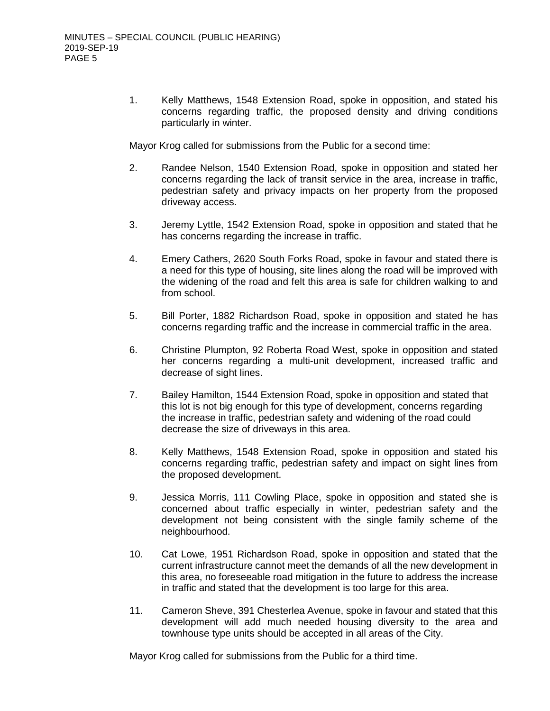1. Kelly Matthews, 1548 Extension Road, spoke in opposition, and stated his concerns regarding traffic, the proposed density and driving conditions particularly in winter.

Mayor Krog called for submissions from the Public for a second time:

- 2. Randee Nelson, 1540 Extension Road, spoke in opposition and stated her concerns regarding the lack of transit service in the area, increase in traffic, pedestrian safety and privacy impacts on her property from the proposed driveway access.
- 3. Jeremy Lyttle, 1542 Extension Road, spoke in opposition and stated that he has concerns regarding the increase in traffic.
- 4. Emery Cathers, 2620 South Forks Road, spoke in favour and stated there is a need for this type of housing, site lines along the road will be improved with the widening of the road and felt this area is safe for children walking to and from school.
- 5. Bill Porter, 1882 Richardson Road, spoke in opposition and stated he has concerns regarding traffic and the increase in commercial traffic in the area.
- 6. Christine Plumpton, 92 Roberta Road West, spoke in opposition and stated her concerns regarding a multi-unit development, increased traffic and decrease of sight lines.
- 7. Bailey Hamilton, 1544 Extension Road, spoke in opposition and stated that this lot is not big enough for this type of development, concerns regarding the increase in traffic, pedestrian safety and widening of the road could decrease the size of driveways in this area.
- 8. Kelly Matthews, 1548 Extension Road, spoke in opposition and stated his concerns regarding traffic, pedestrian safety and impact on sight lines from the proposed development.
- 9. Jessica Morris, 111 Cowling Place, spoke in opposition and stated she is concerned about traffic especially in winter, pedestrian safety and the development not being consistent with the single family scheme of the neighbourhood.
- 10. Cat Lowe, 1951 Richardson Road, spoke in opposition and stated that the current infrastructure cannot meet the demands of all the new development in this area, no foreseeable road mitigation in the future to address the increase in traffic and stated that the development is too large for this area.
- 11. Cameron Sheve, 391 Chesterlea Avenue, spoke in favour and stated that this development will add much needed housing diversity to the area and townhouse type units should be accepted in all areas of the City.

Mayor Krog called for submissions from the Public for a third time.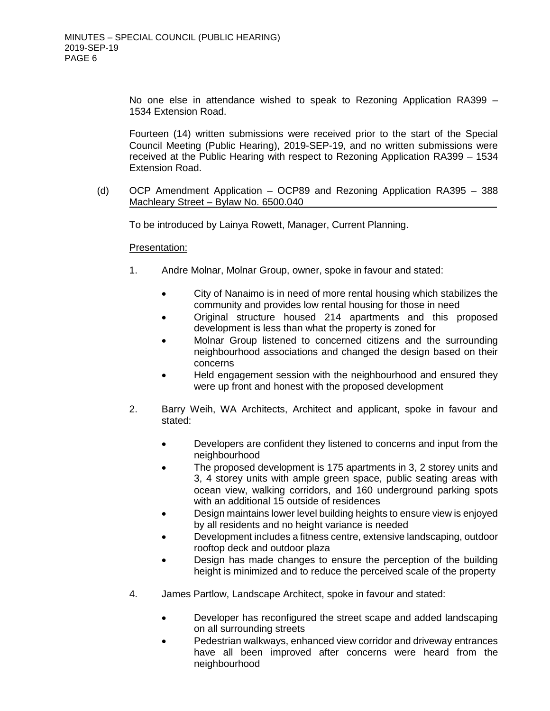No one else in attendance wished to speak to Rezoning Application RA399 – 1534 Extension Road.

Fourteen (14) written submissions were received prior to the start of the Special Council Meeting (Public Hearing), 2019-SEP-19, and no written submissions were received at the Public Hearing with respect to Rezoning Application RA399 – 1534 Extension Road.

(d) OCP Amendment Application – OCP89 and Rezoning Application RA395 – 388 Machleary Street – Bylaw No. 6500.040

To be introduced by Lainya Rowett, Manager, Current Planning.

#### Presentation:

- 1. Andre Molnar, Molnar Group, owner, spoke in favour and stated:
	- City of Nanaimo is in need of more rental housing which stabilizes the community and provides low rental housing for those in need
	- Original structure housed 214 apartments and this proposed development is less than what the property is zoned for
	- Molnar Group listened to concerned citizens and the surrounding neighbourhood associations and changed the design based on their concerns
	- Held engagement session with the neighbourhood and ensured they were up front and honest with the proposed development
- 2. Barry Weih, WA Architects, Architect and applicant, spoke in favour and stated:
	- Developers are confident they listened to concerns and input from the neighbourhood
	- The proposed development is 175 apartments in 3, 2 storey units and 3, 4 storey units with ample green space, public seating areas with ocean view, walking corridors, and 160 underground parking spots with an additional 15 outside of residences
	- Design maintains lower level building heights to ensure view is enjoyed by all residents and no height variance is needed
	- Development includes a fitness centre, extensive landscaping, outdoor rooftop deck and outdoor plaza
	- Design has made changes to ensure the perception of the building height is minimized and to reduce the perceived scale of the property
- 4. James Partlow, Landscape Architect, spoke in favour and stated:
	- Developer has reconfigured the street scape and added landscaping on all surrounding streets
	- Pedestrian walkways, enhanced view corridor and driveway entrances have all been improved after concerns were heard from the neighbourhood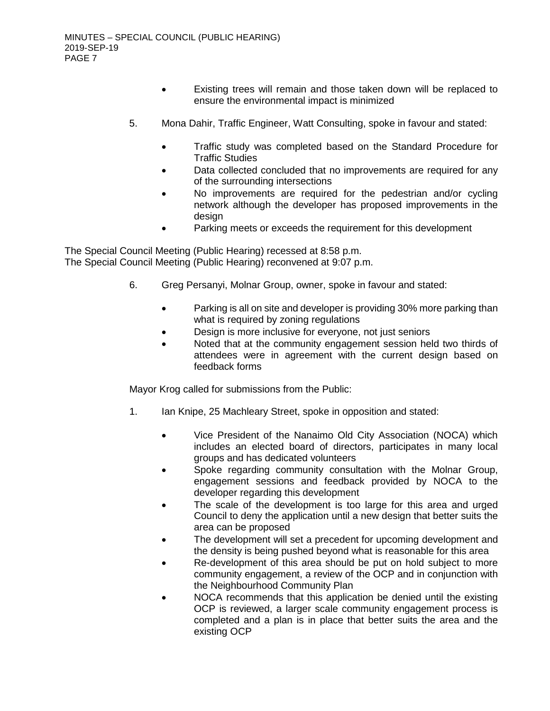- Existing trees will remain and those taken down will be replaced to ensure the environmental impact is minimized
- 5. Mona Dahir, Traffic Engineer, Watt Consulting, spoke in favour and stated:
	- Traffic study was completed based on the Standard Procedure for Traffic Studies
	- Data collected concluded that no improvements are required for any of the surrounding intersections
	- No improvements are required for the pedestrian and/or cycling network although the developer has proposed improvements in the design
	- Parking meets or exceeds the requirement for this development

The Special Council Meeting (Public Hearing) recessed at 8:58 p.m. The Special Council Meeting (Public Hearing) reconvened at 9:07 p.m.

- 6. Greg Persanyi, Molnar Group, owner, spoke in favour and stated:
	- Parking is all on site and developer is providing 30% more parking than what is required by zoning regulations
	- Design is more inclusive for everyone, not just seniors
	- Noted that at the community engagement session held two thirds of attendees were in agreement with the current design based on feedback forms

Mayor Krog called for submissions from the Public:

- 1. Ian Knipe, 25 Machleary Street, spoke in opposition and stated:
	- Vice President of the Nanaimo Old City Association (NOCA) which includes an elected board of directors, participates in many local groups and has dedicated volunteers
	- Spoke regarding community consultation with the Molnar Group, engagement sessions and feedback provided by NOCA to the developer regarding this development
	- The scale of the development is too large for this area and urged Council to deny the application until a new design that better suits the area can be proposed
	- The development will set a precedent for upcoming development and the density is being pushed beyond what is reasonable for this area
	- Re-development of this area should be put on hold subject to more community engagement, a review of the OCP and in conjunction with the Neighbourhood Community Plan
	- NOCA recommends that this application be denied until the existing OCP is reviewed, a larger scale community engagement process is completed and a plan is in place that better suits the area and the existing OCP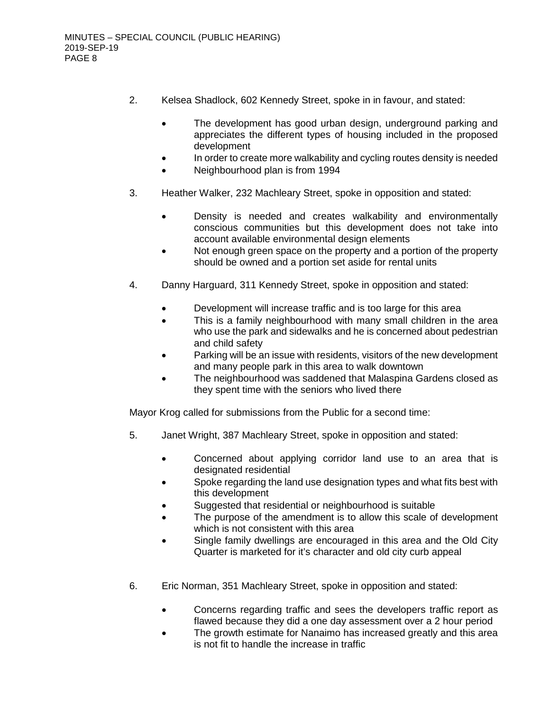- 2. Kelsea Shadlock, 602 Kennedy Street, spoke in in favour, and stated:
	- The development has good urban design, underground parking and appreciates the different types of housing included in the proposed development
	- In order to create more walkability and cycling routes density is needed
	- Neighbourhood plan is from 1994
- 3. Heather Walker, 232 Machleary Street, spoke in opposition and stated:
	- Density is needed and creates walkability and environmentally conscious communities but this development does not take into account available environmental design elements
	- Not enough green space on the property and a portion of the property should be owned and a portion set aside for rental units
- 4. Danny Harguard, 311 Kennedy Street, spoke in opposition and stated:
	- Development will increase traffic and is too large for this area
	- This is a family neighbourhood with many small children in the area who use the park and sidewalks and he is concerned about pedestrian and child safety
	- Parking will be an issue with residents, visitors of the new development and many people park in this area to walk downtown
	- The neighbourhood was saddened that Malaspina Gardens closed as they spent time with the seniors who lived there

Mayor Krog called for submissions from the Public for a second time:

- 5. Janet Wright, 387 Machleary Street, spoke in opposition and stated:
	- Concerned about applying corridor land use to an area that is designated residential
	- Spoke regarding the land use designation types and what fits best with this development
	- Suggested that residential or neighbourhood is suitable
	- The purpose of the amendment is to allow this scale of development which is not consistent with this area
	- Single family dwellings are encouraged in this area and the Old City Quarter is marketed for it's character and old city curb appeal
- 6. Eric Norman, 351 Machleary Street, spoke in opposition and stated:
	- Concerns regarding traffic and sees the developers traffic report as flawed because they did a one day assessment over a 2 hour period
	- The growth estimate for Nanaimo has increased greatly and this area is not fit to handle the increase in traffic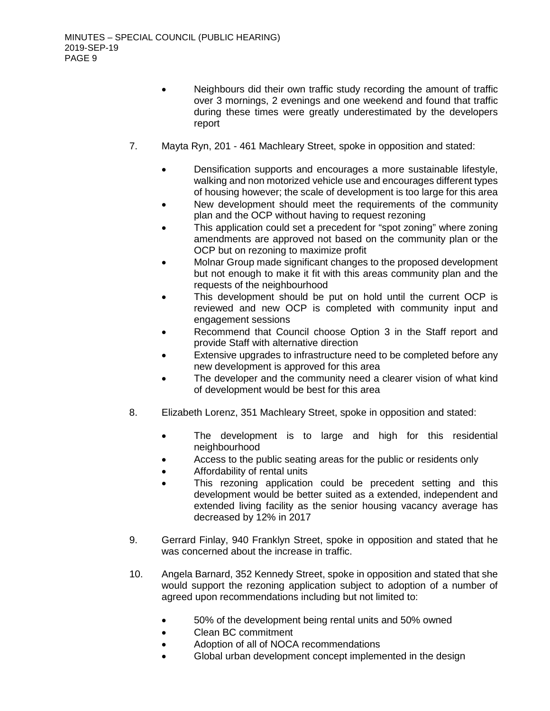- Neighbours did their own traffic study recording the amount of traffic over 3 mornings, 2 evenings and one weekend and found that traffic during these times were greatly underestimated by the developers report
- 7. Mayta Ryn, 201 461 Machleary Street, spoke in opposition and stated:
	- Densification supports and encourages a more sustainable lifestyle, walking and non motorized vehicle use and encourages different types of housing however; the scale of development is too large for this area
	- New development should meet the requirements of the community plan and the OCP without having to request rezoning
	- This application could set a precedent for "spot zoning" where zoning amendments are approved not based on the community plan or the OCP but on rezoning to maximize profit
	- Molnar Group made significant changes to the proposed development but not enough to make it fit with this areas community plan and the requests of the neighbourhood
	- This development should be put on hold until the current OCP is reviewed and new OCP is completed with community input and engagement sessions
	- Recommend that Council choose Option 3 in the Staff report and provide Staff with alternative direction
	- Extensive upgrades to infrastructure need to be completed before any new development is approved for this area
	- The developer and the community need a clearer vision of what kind of development would be best for this area
- 8. Elizabeth Lorenz, 351 Machleary Street, spoke in opposition and stated:
	- The development is to large and high for this residential neighbourhood
	- Access to the public seating areas for the public or residents only
	- Affordability of rental units
	- This rezoning application could be precedent setting and this development would be better suited as a extended, independent and extended living facility as the senior housing vacancy average has decreased by 12% in 2017
- 9. Gerrard Finlay, 940 Franklyn Street, spoke in opposition and stated that he was concerned about the increase in traffic.
- 10. Angela Barnard, 352 Kennedy Street, spoke in opposition and stated that she would support the rezoning application subject to adoption of a number of agreed upon recommendations including but not limited to:
	- 50% of the development being rental units and 50% owned
	- Clean BC commitment
	- Adoption of all of NOCA recommendations
	- Global urban development concept implemented in the design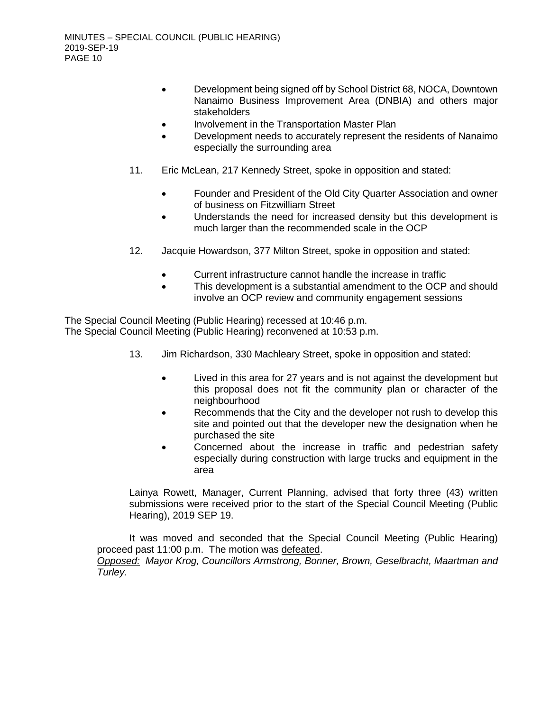- Development being signed off by School District 68, NOCA, Downtown Nanaimo Business Improvement Area (DNBIA) and others major stakeholders
- Involvement in the Transportation Master Plan
- Development needs to accurately represent the residents of Nanaimo especially the surrounding area
- 11. Eric McLean, 217 Kennedy Street, spoke in opposition and stated:
	- Founder and President of the Old City Quarter Association and owner of business on Fitzwilliam Street
	- Understands the need for increased density but this development is much larger than the recommended scale in the OCP
- 12. Jacquie Howardson, 377 Milton Street, spoke in opposition and stated:
	- Current infrastructure cannot handle the increase in traffic
	- This development is a substantial amendment to the OCP and should involve an OCP review and community engagement sessions

The Special Council Meeting (Public Hearing) recessed at 10:46 p.m. The Special Council Meeting (Public Hearing) reconvened at 10:53 p.m.

- 13. Jim Richardson, 330 Machleary Street, spoke in opposition and stated:
	- Lived in this area for 27 years and is not against the development but this proposal does not fit the community plan or character of the neighbourhood
	- Recommends that the City and the developer not rush to develop this site and pointed out that the developer new the designation when he purchased the site
	- Concerned about the increase in traffic and pedestrian safety especially during construction with large trucks and equipment in the area

Lainya Rowett, Manager, Current Planning, advised that forty three (43) written submissions were received prior to the start of the Special Council Meeting (Public Hearing), 2019 SEP 19.

It was moved and seconded that the Special Council Meeting (Public Hearing) proceed past 11:00 p.m. The motion was defeated.

*Opposed: Mayor Krog, Councillors Armstrong, Bonner, Brown, Geselbracht, Maartman and Turley.*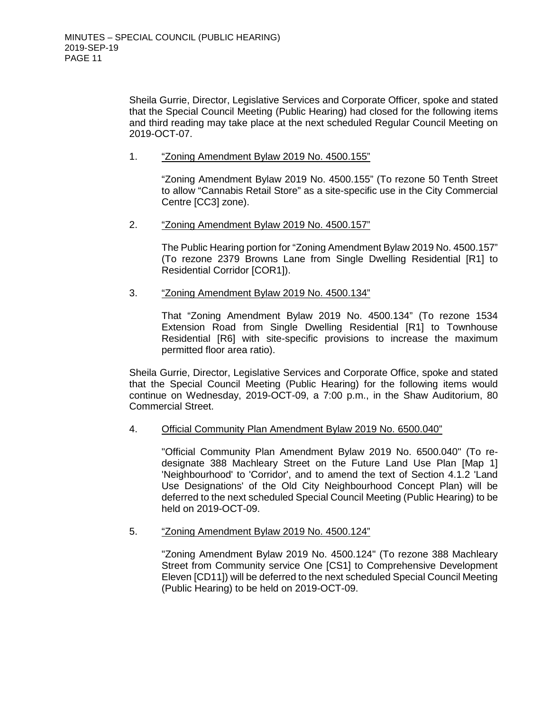Sheila Gurrie, Director, Legislative Services and Corporate Officer, spoke and stated that the Special Council Meeting (Public Hearing) had closed for the following items and third reading may take place at the next scheduled Regular Council Meeting on 2019-OCT-07.

### 1. "Zoning Amendment Bylaw 2019 No. 4500.155"

"Zoning Amendment Bylaw 2019 No. 4500.155" (To rezone 50 Tenth Street to allow "Cannabis Retail Store" as a site-specific use in the City Commercial Centre [CC3] zone).

#### 2. "Zoning Amendment Bylaw 2019 No. 4500.157"

The Public Hearing portion for "Zoning Amendment Bylaw 2019 No. 4500.157" (To rezone 2379 Browns Lane from Single Dwelling Residential [R1] to Residential Corridor [COR1]).

#### 3. "Zoning Amendment Bylaw 2019 No. 4500.134"

That "Zoning Amendment Bylaw 2019 No. 4500.134" (To rezone 1534 Extension Road from Single Dwelling Residential [R1] to Townhouse Residential [R6] with site-specific provisions to increase the maximum permitted floor area ratio).

Sheila Gurrie, Director, Legislative Services and Corporate Office, spoke and stated that the Special Council Meeting (Public Hearing) for the following items would continue on Wednesday, 2019-OCT-09, a 7:00 p.m., in the Shaw Auditorium, 80 Commercial Street.

## 4. Official Community Plan Amendment Bylaw 2019 No. 6500.040"

"Official Community Plan Amendment Bylaw 2019 No. 6500.040" (To redesignate 388 Machleary Street on the Future Land Use Plan [Map 1] 'Neighbourhood' to 'Corridor', and to amend the text of Section 4.1.2 'Land Use Designations' of the Old City Neighbourhood Concept Plan) will be deferred to the next scheduled Special Council Meeting (Public Hearing) to be held on 2019-OCT-09.

## 5. "Zoning Amendment Bylaw 2019 No. 4500.124"

"Zoning Amendment Bylaw 2019 No. 4500.124" (To rezone 388 Machleary Street from Community service One [CS1] to Comprehensive Development Eleven [CD11]) will be deferred to the next scheduled Special Council Meeting (Public Hearing) to be held on 2019-OCT-09.